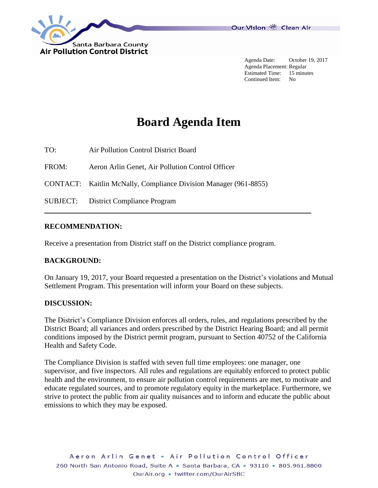

Agenda Date: October 19, 2017 Agenda Placement: Regular Estimated Time: 15 minutes Continued Item: No

# **Board Agenda Item**

TO: Air Pollution Control District Board

FROM: Aeron Arlin Genet, Air Pollution Control Officer

CONTACT: Kaitlin McNally, Compliance Division Manager (961-8855)

SUBJECT: District Compliance Program

### **RECOMMENDATION:**

Receive a presentation from District staff on the District compliance program.

### **BACKGROUND:**

On January 19, 2017, your Board requested a presentation on the District's violations and Mutual Settlement Program. This presentation will inform your Board on these subjects.

#### **DISCUSSION:**

The District's Compliance Division enforces all orders, rules, and regulations prescribed by the District Board; all variances and orders prescribed by the District Hearing Board; and all permit conditions imposed by the District permit program, pursuant to Section 40752 of the California Health and Safety Code.

The Compliance Division is staffed with seven full time employees: one manager, one supervisor, and five inspectors. All rules and regulations are equitably enforced to protect public health and the environment, to ensure air pollution control requirements are met, to motivate and educate regulated sources, and to promote regulatory equity in the marketplace. Furthermore, we strive to protect the public from air quality nuisances and to inform and educate the public about emissions to which they may be exposed.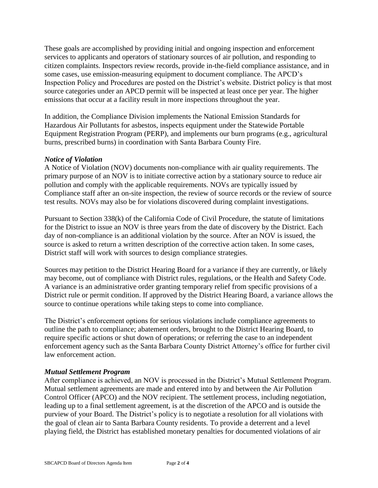These goals are accomplished by providing initial and ongoing inspection and enforcement services to applicants and operators of stationary sources of air pollution, and responding to citizen complaints. Inspectors review records, provide in-the-field compliance assistance, and in some cases, use emission-measuring equipment to document compliance. The APCD's Inspection Policy and Procedures are posted on the District's website. District policy is that most source categories under an APCD permit will be inspected at least once per year. The higher emissions that occur at a facility result in more inspections throughout the year.

In addition, the Compliance Division implements the National Emission Standards for Hazardous Air Pollutants for asbestos, inspects equipment under the Statewide Portable Equipment Registration Program (PERP), and implements our burn programs (e.g., agricultural burns, prescribed burns) in coordination with Santa Barbara County Fire.

### *Notice of Violation*

A Notice of Violation (NOV) documents non-compliance with air quality requirements. The primary purpose of an NOV is to initiate corrective action by a stationary source to reduce air pollution and comply with the applicable requirements. NOVs are typically issued by Compliance staff after an on-site inspection, the review of source records or the review of source test results. NOVs may also be for violations discovered during complaint investigations.

Pursuant to Section 338(k) of the California Code of Civil Procedure, the statute of limitations for the District to issue an NOV is three years from the date of discovery by the District. Each day of non-compliance is an additional violation by the source. After an NOV is issued, the source is asked to return a written description of the corrective action taken. In some cases, District staff will work with sources to design compliance strategies.

Sources may petition to the District Hearing Board for a variance if they are currently, or likely may become, out of compliance with District rules, regulations, or the Health and Safety Code. A variance is an administrative order granting temporary relief from specific provisions of a District rule or permit condition. If approved by the District Hearing Board, a variance allows the source to continue operations while taking steps to come into compliance.

The District's enforcement options for serious violations include compliance agreements to outline the path to compliance; abatement orders, brought to the District Hearing Board, to require specific actions or shut down of operations; or referring the case to an independent enforcement agency such as the Santa Barbara County District Attorney's office for further civil law enforcement action.

### *Mutual Settlement Program*

After compliance is achieved, an NOV is processed in the District's Mutual Settlement Program. Mutual settlement agreements are made and entered into by and between the Air Pollution Control Officer (APCO) and the NOV recipient. The settlement process, including negotiation, leading up to a final settlement agreement, is at the discretion of the APCO and is outside the purview of your Board. The District's policy is to negotiate a resolution for all violations with the goal of clean air to Santa Barbara County residents. To provide a deterrent and a level playing field, the District has established monetary penalties for documented violations of air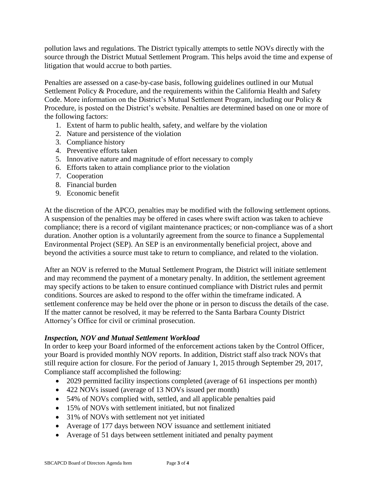pollution laws and regulations. The District typically attempts to settle NOVs directly with the source through the District Mutual Settlement Program. This helps avoid the time and expense of litigation that would accrue to both parties.

Penalties are assessed on a case-by-case basis, following guidelines outlined in our Mutual Settlement Policy & Procedure, and the requirements within the California Health and Safety Code. More information on the District's Mutual Settlement Program, including our Policy & Procedure, is posted on the District's website. Penalties are determined based on one or more of the following factors:

- 1. Extent of harm to public health, safety, and welfare by the violation
- 2. Nature and persistence of the violation
- 3. Compliance history
- 4. Preventive efforts taken
- 5. Innovative nature and magnitude of effort necessary to comply
- 6. Efforts taken to attain compliance prior to the violation
- 7. Cooperation
- 8. Financial burden
- 9. Economic benefit

At the discretion of the APCO, penalties may be modified with the following settlement options. A suspension of the penalties may be offered in cases where swift action was taken to achieve compliance; there is a record of vigilant maintenance practices; or non-compliance was of a short duration. Another option is a voluntarily agreement from the source to finance a Supplemental Environmental Project (SEP). An SEP is an environmentally beneficial project, above and beyond the activities a source must take to return to compliance, and related to the violation.

After an NOV is referred to the Mutual Settlement Program, the District will initiate settlement and may recommend the payment of a monetary penalty. In addition, the settlement agreement may specify actions to be taken to ensure continued compliance with District rules and permit conditions. Sources are asked to respond to the offer within the timeframe indicated. A settlement conference may be held over the phone or in person to discuss the details of the case. If the matter cannot be resolved, it may be referred to the Santa Barbara County District Attorney's Office for civil or criminal prosecution.

### *Inspection, NOV and Mutual Settlement Workload*

In order to keep your Board informed of the enforcement actions taken by the Control Officer, your Board is provided monthly NOV reports. In addition, District staff also track NOVs that still require action for closure. For the period of January 1, 2015 through September 29, 2017, Compliance staff accomplished the following:

- 2029 permitted facility inspections completed (average of 61 inspections per month)
- 422 NOVs issued (average of 13 NOVs issued per month)
- 54% of NOVs complied with, settled, and all applicable penalties paid
- 15% of NOVs with settlement initiated, but not finalized
- 31% of NOVs with settlement not yet initiated
- Average of 177 days between NOV issuance and settlement initiated
- Average of 51 days between settlement initiated and penalty payment